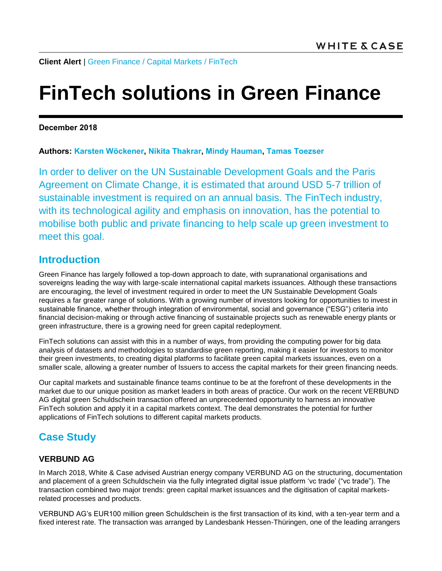**Client Alert** | [Green Finance / Capital Markets](https://www.whitecase.com/law/practices/capital-markets) / [FinTech](https://www.whitecase.com/law/industries/fintech)

# **FinTech solutions in Green Finance**

**December 2018**

#### **Authors: [Karsten Wöckener,](https://www.whitecase.com/people/karsten-wockener) [Nikita Thakrar,](https://www.whitecase.com/people/nikita-thakrar) [Mindy Hauman,](https://www.whitecase.com/people/mindy-hauman) [Tamas Toezser](mailto:tamas.toezser@whitecase.com)**

In order to deliver on the UN Sustainable Development Goals and the Paris Agreement on Climate Change, it is estimated that around USD 5-7 trillion of sustainable investment is required on an annual basis. The FinTech industry, with its technological agility and emphasis on innovation, has the potential to mobilise both public and private financing to help scale up green investment to meet this goal.

### **Introduction**

Green Finance has largely followed a top-down approach to date, with supranational organisations and sovereigns leading the way with large-scale international capital markets issuances. Although these transactions are encouraging, the level of investment required in order to meet the UN Sustainable Development Goals requires a far greater range of solutions. With a growing number of investors looking for opportunities to invest in sustainable finance, whether through integration of environmental, social and governance ("ESG") criteria into financial decision-making or through active financing of sustainable projects such as renewable energy plants or green infrastructure, there is a growing need for green capital redeployment.

FinTech solutions can assist with this in a number of ways, from providing the computing power for big data analysis of datasets and methodologies to standardise green reporting, making it easier for investors to monitor their green investments, to creating digital platforms to facilitate green capital markets issuances, even on a smaller scale, allowing a greater number of Issuers to access the capital markets for their green financing needs.

Our capital markets and sustainable finance teams continue to be at the forefront of these developments in the market due to our unique position as market leaders in both areas of practice. Our work on the recent VERBUND AG digital green Schuldschein transaction offered an unprecedented opportunity to harness an innovative FinTech solution and apply it in a capital markets context. The deal demonstrates the potential for further applications of FinTech solutions to different capital markets products.

## **Case Study**

#### **VERBUND AG**

In March 2018, White & Case advised Austrian energy company VERBUND AG on the structuring, documentation and placement of a green Schuldschein via the fully integrated digital issue platform 'vc trade' ("vc trade"). The transaction combined two major trends: green capital market issuances and the digitisation of capital marketsrelated processes and products.

VERBUND AG's EUR100 million green Schuldschein is the first transaction of its kind, with a ten-year term and a fixed interest rate. The transaction was arranged by Landesbank Hessen-Thüringen, one of the leading arrangers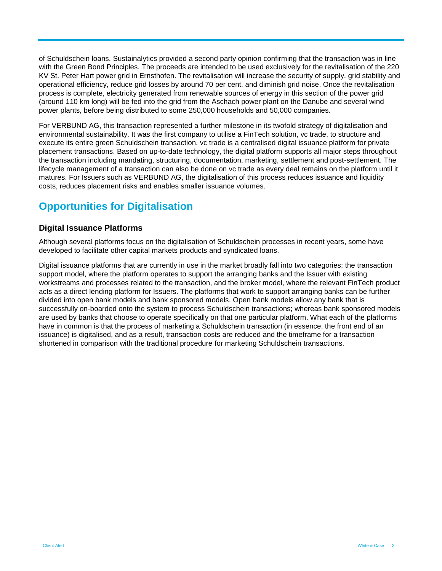of Schuldschein loans. Sustainalytics provided a second party opinion confirming that the transaction was in line with the Green Bond Principles. The proceeds are intended to be used exclusively for the revitalisation of the 220 KV St. Peter Hart power grid in Ernsthofen. The revitalisation will increase the security of supply, grid stability and operational efficiency, reduce grid losses by around 70 per cent. and diminish grid noise. Once the revitalisation process is complete, electricity generated from renewable sources of energy in this section of the power grid (around 110 km long) will be fed into the grid from the Aschach power plant on the Danube and several wind power plants, before being distributed to some 250,000 households and 50,000 companies.

For VERBUND AG, this transaction represented a further milestone in its twofold strategy of digitalisation and environmental sustainability. It was the first company to utilise a FinTech solution, vc trade, to structure and execute its entire green Schuldschein transaction. vc trade is a centralised digital issuance platform for private placement transactions. Based on up-to-date technology, the digital platform supports all major steps throughout the transaction including mandating, structuring, documentation, marketing, settlement and post-settlement. The lifecycle management of a transaction can also be done on vc trade as every deal remains on the platform until it matures. For Issuers such as VERBUND AG, the digitalisation of this process reduces issuance and liquidity costs, reduces placement risks and enables smaller issuance volumes.

## **Opportunities for Digitalisation**

#### **Digital Issuance Platforms**

Although several platforms focus on the digitalisation of Schuldschein processes in recent years, some have developed to facilitate other capital markets products and syndicated loans.

Digital issuance platforms that are currently in use in the market broadly fall into two categories: the transaction support model, where the platform operates to support the arranging banks and the Issuer with existing workstreams and processes related to the transaction, and the broker model, where the relevant FinTech product acts as a direct lending platform for Issuers. The platforms that work to support arranging banks can be further divided into open bank models and bank sponsored models. Open bank models allow any bank that is successfully on-boarded onto the system to process Schuldschein transactions; whereas bank sponsored models are used by banks that choose to operate specifically on that one particular platform. What each of the platforms have in common is that the process of marketing a Schuldschein transaction (in essence, the front end of an issuance) is digitalised, and as a result, transaction costs are reduced and the timeframe for a transaction shortened in comparison with the traditional procedure for marketing Schuldschein transactions.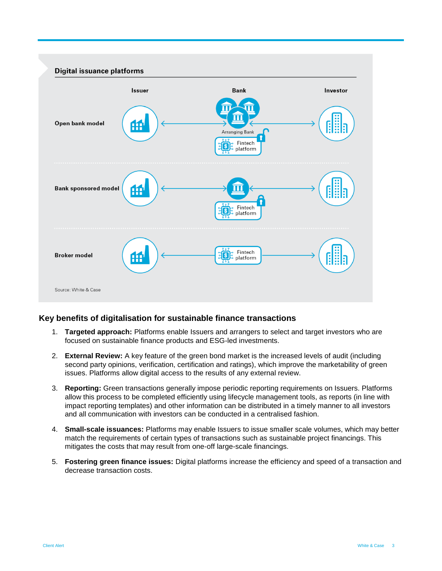

#### **Key benefits of digitalisation for sustainable finance transactions**

- 1. **Targeted approach:** Platforms enable Issuers and arrangers to select and target investors who are focused on sustainable finance products and ESG-led investments.
- 2. **External Review:** A key feature of the green bond market is the increased levels of audit (including second party opinions, verification, certification and ratings), which improve the marketability of green issues. Platforms allow digital access to the results of any external review.
- 3. **Reporting:** Green transactions generally impose periodic reporting requirements on Issuers. Platforms allow this process to be completed efficiently using lifecycle management tools, as reports (in line with impact reporting templates) and other information can be distributed in a timely manner to all investors and all communication with investors can be conducted in a centralised fashion.
- 4. **Small-scale issuances:** Platforms may enable Issuers to issue smaller scale volumes, which may better match the requirements of certain types of transactions such as sustainable project financings. This mitigates the costs that may result from one-off large-scale financings.
- 5. **Fostering green finance issues:** Digital platforms increase the efficiency and speed of a transaction and decrease transaction costs.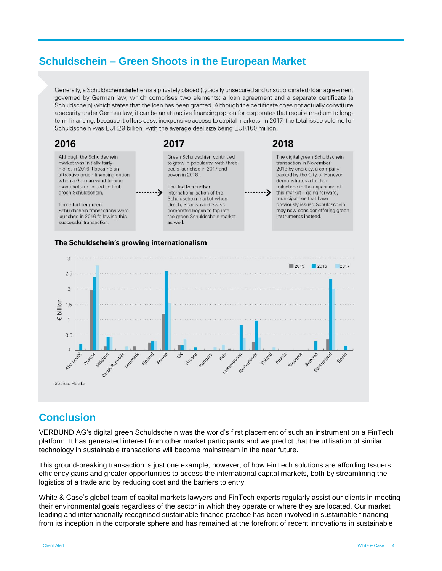## **Schuldschein – Green Shoots in the European Market**

Generally, a Schuldscheindarlehen is a privately placed (typically unsecured and unsubordinated) loan agreement governed by German law, which comprises two elements: a loan agreement and a separate certificate (a Schuldschein) which states that the loan has been granted. Although the certificate does not actually constitute a security under German law, it can be an attractive financing option for corporates that require medium to longterm financing, because it offers easy, inexpensive access to capital markets. In 2017, the total issue volume for Schuldschein was EUR29 billion, with the average deal size being EUR160 million.





## **Conclusion**

VERBUND AG's digital green Schuldschein was the world's first placement of such an instrument on a FinTech platform. It has generated interest from other market participants and we predict that the utilisation of similar technology in sustainable transactions will become mainstream in the near future.

This ground-breaking transaction is just one example, however, of how FinTech solutions are affording Issuers efficiency gains and greater opportunities to access the international capital markets, both by streamlining the logistics of a trade and by reducing cost and the barriers to entry.

White & Case's global team of capital markets lawyers and FinTech experts regularly assist our clients in meeting their environmental goals regardless of the sector in which they operate or where they are located. Our market leading and internationally recognised sustainable finance practice has been involved in sustainable financing from its inception in the corporate sphere and has remained at the forefront of recent innovations in sustainable